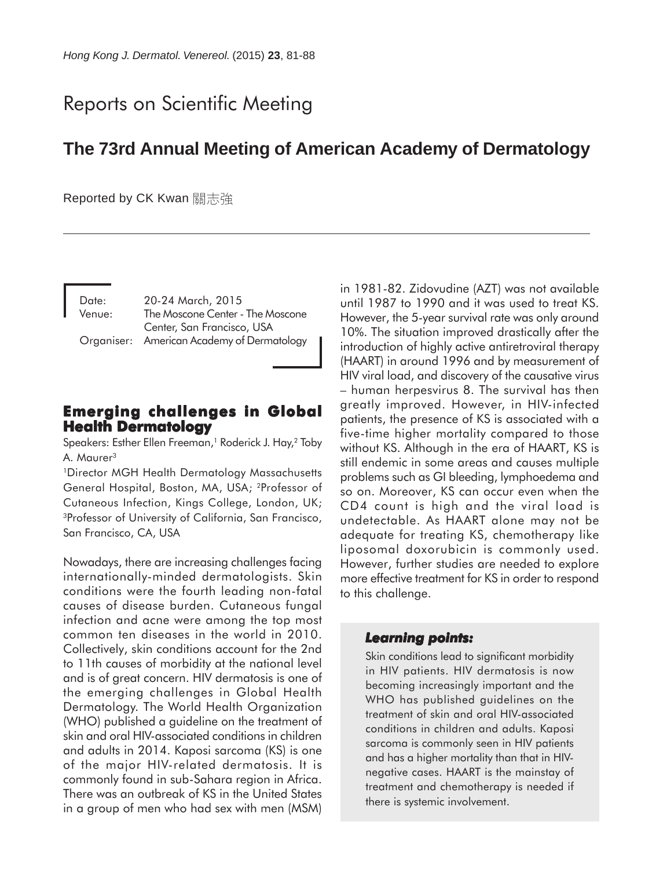# Reports on Scientific Meeting

## **The 73rd Annual Meeting of American Academy of Dermatology**

Reported by CK Kwan 關志強

Date: 20-24 March, 2015 Venue: The Moscone Center - The Moscone Center, San Francisco, USA Organiser: American Academy of Dermatology

## **Emerging challenges in Global Emerging challenges in Global Health Dermatology**

Speakers: Esther Ellen Freeman,<sup>1</sup> Roderick J. Hay,<sup>2</sup> Toby A. Maurer<sup>3</sup>

1Director MGH Health Dermatology Massachusetts General Hospital, Boston, MA, USA; 2Professor of Cutaneous Infection, Kings College, London, UK; 3Professor of University of California, San Francisco, San Francisco, CA, USA

Nowadays, there are increasing challenges facing internationally-minded dermatologists. Skin conditions were the fourth leading non-fatal causes of disease burden. Cutaneous fungal infection and acne were among the top most common ten diseases in the world in 2010. Collectively, skin conditions account for the 2nd to 11th causes of morbidity at the national level and is of great concern. HIV dermatosis is one of the emerging challenges in Global Health Dermatology. The World Health Organization (WHO) published a guideline on the treatment of skin and oral HIV-associated conditions in children and adults in 2014. Kaposi sarcoma (KS) is one of the major HIV-related dermatosis. It is commonly found in sub-Sahara region in Africa. There was an outbreak of KS in the United States in a group of men who had sex with men (MSM) in 1981-82. Zidovudine (AZT) was not available until 1987 to 1990 and it was used to treat KS. However, the 5-year survival rate was only around 10%. The situation improved drastically after the introduction of highly active antiretroviral therapy (HAART) in around 1996 and by measurement of HIV viral load, and discovery of the causative virus – human herpesvirus 8. The survival has then greatly improved. However, in HIV-infected patients, the presence of KS is associated with a five-time higher mortality compared to those without KS. Although in the era of HAART, KS is still endemic in some areas and causes multiple problems such as GI bleeding, lymphoedema and so on. Moreover, KS can occur even when the CD4 count is high and the viral load is undetectable. As HAART alone may not be adequate for treating KS, chemotherapy like liposomal doxorubicin is commonly used. However, further studies are needed to explore more effective treatment for KS in order to respond to this challenge.

#### *Learning points: points:*

Skin conditions lead to significant morbidity in HIV patients. HIV dermatosis is now becoming increasingly important and the WHO has published guidelines on the treatment of skin and oral HIV-associated conditions in children and adults. Kaposi sarcoma is commonly seen in HIV patients and has a higher mortality than that in HIVnegative cases. HAART is the mainstay of treatment and chemotherapy is needed if there is systemic involvement.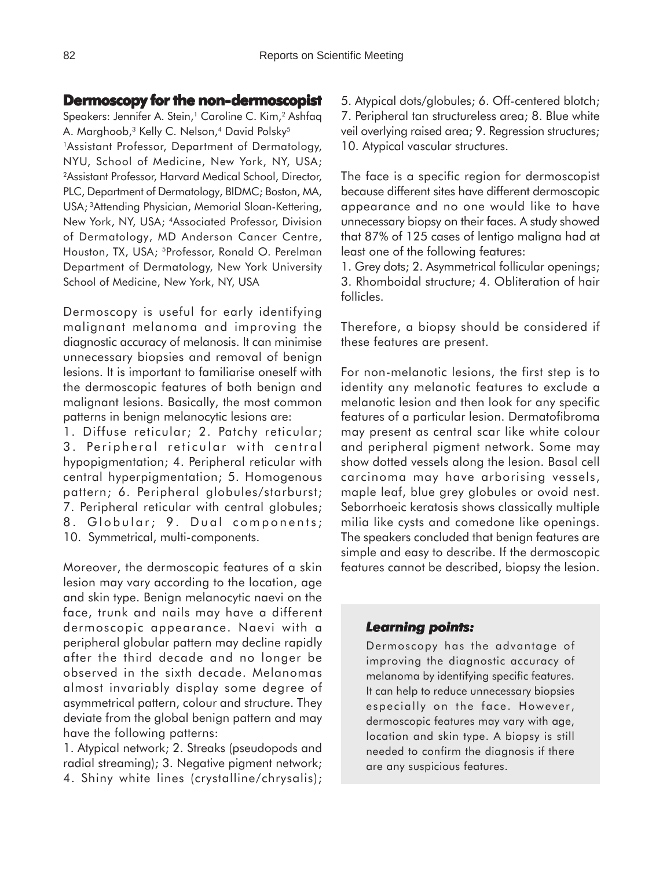## **Dermoscopy for the non-dermoscopist**

Speakers: Jennifer A. Stein,<sup>1</sup> Caroline C. Kim,<sup>2</sup> Ashfaq A. Marghoob,<sup>3</sup> Kelly C. Nelson,<sup>4</sup> David Polsky<sup>5</sup> <sup>1</sup>Assistant Professor, Department of Dermatology, NYU, School of Medicine, New York, NY, USA; 2Assistant Professor, Harvard Medical School, Director, PLC, Department of Dermatology, BIDMC; Boston, MA, USA; 3Attending Physician, Memorial Sloan-Kettering, New York, NY, USA; 4Associated Professor, Division of Dermatology, MD Anderson Cancer Centre, Houston, TX, USA; 5Professor, Ronald O. Perelman Department of Dermatology, New York University School of Medicine, New York, NY, USA

Dermoscopy is useful for early identifying malignant melanoma and improving the diagnostic accuracy of melanosis. It can minimise unnecessary biopsies and removal of benign lesions. It is important to familiarise oneself with the dermoscopic features of both benign and malignant lesions. Basically, the most common patterns in benign melanocytic lesions are:

1. Diffuse reticular; 2. Patchy reticular; 3. Peripheral reticular with central hypopigmentation; 4. Peripheral reticular with central hyperpigmentation; 5. Homogenous pattern; 6. Peripheral globules/starburst; 7. Peripheral reticular with central globules; 8. Globular; 9. Dual components; 10. Symmetrical, multi-components.

Moreover, the dermoscopic features of a skin lesion may vary according to the location, age and skin type. Benign melanocytic naevi on the face, trunk and nails may have a different dermoscopic appearance. Naevi with a peripheral globular pattern may decline rapidly after the third decade and no longer be observed in the sixth decade. Melanomas almost invariably display some degree of asymmetrical pattern, colour and structure. They deviate from the global benign pattern and may have the following patterns:

1. Atypical network; 2. Streaks (pseudopods and radial streaming); 3. Negative pigment network; 4. Shiny white lines (crystalline/chrysalis); 5. Atypical dots/globules; 6. Off-centered blotch; 7. Peripheral tan structureless area; 8. Blue white veil overlying raised area; 9. Regression structures; 10. Atypical vascular structures.

The face is a specific region for dermoscopist because different sites have different dermoscopic appearance and no one would like to have unnecessary biopsy on their faces. A study showed that 87% of 125 cases of lentigo maligna had at least one of the following features:

1. Grey dots; 2. Asymmetrical follicular openings; 3. Rhomboidal structure; 4. Obliteration of hair follicles.

Therefore, a biopsy should be considered if these features are present.

For non-melanotic lesions, the first step is to identity any melanotic features to exclude a melanotic lesion and then look for any specific features of a particular lesion. Dermatofibroma may present as central scar like white colour and peripheral pigment network. Some may show dotted vessels along the lesion. Basal cell carcinoma may have arborising vessels, maple leaf, blue grey globules or ovoid nest. Seborrhoeic keratosis shows classically multiple milia like cysts and comedone like openings. The speakers concluded that benign features are simple and easy to describe. If the dermoscopic features cannot be described, biopsy the lesion.

#### *Learning points: Learning points:*

Dermoscopy has the advantage of improving the diagnostic accuracy of melanoma by identifying specific features. It can help to reduce unnecessary biopsies especially on the face. However, dermoscopic features may vary with age, location and skin type. A biopsy is still needed to confirm the diagnosis if there are any suspicious features.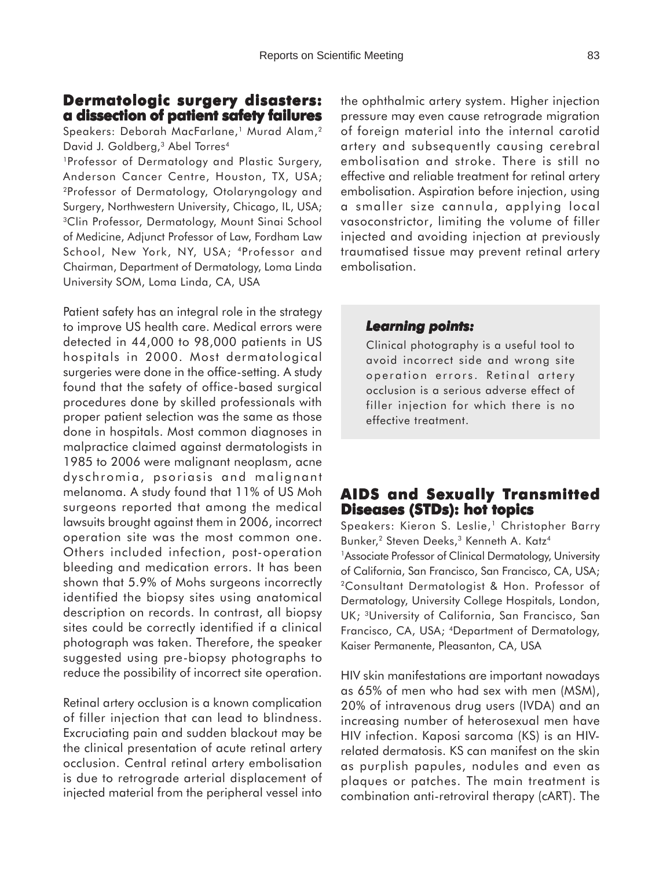## **Dermatologic surgery disasters: Dermatologic surgery a dissection of patient safety failures**

Speakers: Deborah MacFarlane,<sup>1</sup> Murad Alam,<sup>2</sup> David J. Goldberg,<sup>3</sup> Abel Torres<sup>4</sup>

1Professor of Dermatology and Plastic Surgery, Anderson Cancer Centre, Houston, TX, USA; 2Professor of Dermatology, Otolaryngology and Surgery, Northwestern University, Chicago, IL, USA; <sup>3</sup>Clin Professor, Dermatology, Mount Sinai School of Medicine, Adjunct Professor of Law, Fordham Law School, New York, NY, USA; 4Professor and Chairman, Department of Dermatology, Loma Linda University SOM, Loma Linda, CA, USA

Patient safety has an integral role in the strategy to improve US health care. Medical errors were detected in 44,000 to 98,000 patients in US hospitals in 2000. Most dermatological surgeries were done in the office-setting. A study found that the safety of office-based surgical procedures done by skilled professionals with proper patient selection was the same as those done in hospitals. Most common diagnoses in malpractice claimed against dermatologists in 1985 to 2006 were malignant neoplasm, acne dyschromia, psoriasis and malignant melanoma. A study found that 11% of US Moh surgeons reported that among the medical lawsuits brought against them in 2006, incorrect operation site was the most common one. Others included infection, post-operation bleeding and medication errors. It has been shown that 5.9% of Mohs surgeons incorrectly identified the biopsy sites using anatomical description on records. In contrast, all biopsy sites could be correctly identified if a clinical photograph was taken. Therefore, the speaker suggested using pre-biopsy photographs to reduce the possibility of incorrect site operation.

Retinal artery occlusion is a known complication of filler injection that can lead to blindness. Excruciating pain and sudden blackout may be the clinical presentation of acute retinal artery occlusion. Central retinal artery embolisation is due to retrograde arterial displacement of injected material from the peripheral vessel into

the ophthalmic artery system. Higher injection pressure may even cause retrograde migration of foreign material into the internal carotid artery and subsequently causing cerebral embolisation and stroke. There is still no effective and reliable treatment for retinal artery embolisation. Aspiration before injection, using a smaller size cannula, applying local vasoconstrictor, limiting the volume of filler injected and avoiding injection at previously traumatised tissue may prevent retinal artery embolisation.

## *Learning points: Learning points:*

Clinical photography is a useful tool to avoid incorrect side and wrong site operation errors. Retinal artery occlusion is a serious adverse effect of filler injection for which there is no effective treatment.

## **AIDS and Sexually Transmitted Diseases (STDs): hot topics**

Speakers: Kieron S. Leslie,<sup>1</sup> Christopher Barry Bunker,<sup>2</sup> Steven Deeks,<sup>3</sup> Kenneth A. Katz<sup>4</sup>

<sup>1</sup>Associate Professor of Clinical Dermatology, University of California, San Francisco, San Francisco, CA, USA; 2Consultant Dermatologist & Hon. Professor of Dermatology, University College Hospitals, London, UK; 3University of California, San Francisco, San Francisco, CA, USA; 4Department of Dermatology, Kaiser Permanente, Pleasanton, CA, USA

HIV skin manifestations are important nowadays as 65% of men who had sex with men (MSM), 20% of intravenous drug users (IVDA) and an increasing number of heterosexual men have HIV infection. Kaposi sarcoma (KS) is an HIVrelated dermatosis. KS can manifest on the skin as purplish papules, nodules and even as plaques or patches. The main treatment is combination anti-retroviral therapy (cART). The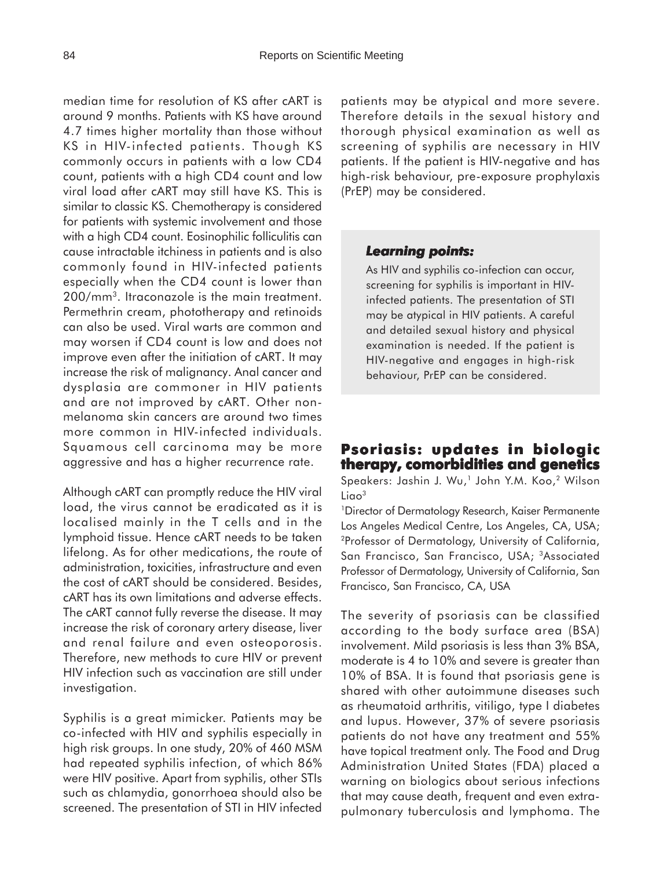median time for resolution of KS after cART is around 9 months. Patients with KS have around 4.7 times higher mortality than those without KS in HIV-infected patients. Though KS commonly occurs in patients with a low CD4 count, patients with a high CD4 count and low viral load after cART may still have KS. This is similar to classic KS. Chemotherapy is considered for patients with systemic involvement and those with a high CD4 count. Eosinophilic folliculitis can cause intractable itchiness in patients and is also commonly found in HIV-infected patients especially when the CD4 count is lower than 200/mm3. Itraconazole is the main treatment. Permethrin cream, phototherapy and retinoids can also be used. Viral warts are common and may worsen if CD4 count is low and does not improve even after the initiation of cART. It may increase the risk of malignancy. Anal cancer and dysplasia are commoner in HIV patients and are not improved by cART. Other nonmelanoma skin cancers are around two times more common in HIV-infected individuals. Squamous cell carcinoma may be more aggressive and has a higher recurrence rate.

Although cART can promptly reduce the HIV viral load, the virus cannot be eradicated as it is localised mainly in the T cells and in the lymphoid tissue. Hence cART needs to be taken lifelong. As for other medications, the route of administration, toxicities, infrastructure and even the cost of cART should be considered. Besides, cART has its own limitations and adverse effects. The cART cannot fully reverse the disease. It may increase the risk of coronary artery disease, liver and renal failure and even osteoporosis. Therefore, new methods to cure HIV or prevent HIV infection such as vaccination are still under investigation.

Syphilis is a great mimicker. Patients may be co-infected with HIV and syphilis especially in high risk groups. In one study, 20% of 460 MSM had repeated syphilis infection, of which 86% were HIV positive. Apart from syphilis, other STIs such as chlamydia, gonorrhoea should also be screened. The presentation of STI in HIV infected patients may be atypical and more severe. Therefore details in the sexual history and thorough physical examination as well as screening of syphilis are necessary in HIV patients. If the patient is HIV-negative and has high-risk behaviour, pre-exposure prophylaxis (PrEP) may be considered.

#### *Learning points: Learning points:*

As HIV and syphilis co-infection can occur, screening for syphilis is important in HIVinfected patients. The presentation of STI may be atypical in HIV patients. A careful and detailed sexual history and physical examination is needed. If the patient is HIV-negative and engages in high-risk behaviour, PrEP can be considered.

## **Psoriasis: updates in biologic therapy, comorbidities and genetics**

Speakers: Jashin J. Wu,<sup>1</sup> John Y.M. Koo,<sup>2</sup> Wilson Liao<sup>3</sup>

<sup>1</sup>Director of Dermatology Research, Kaiser Permanente Los Angeles Medical Centre, Los Angeles, CA, USA; 2Professor of Dermatology, University of California, San Francisco, San Francisco, USA; 3Associated Professor of Dermatology, University of California, San Francisco, San Francisco, CA, USA

The severity of psoriasis can be classified according to the body surface area (BSA) involvement. Mild psoriasis is less than 3% BSA, moderate is 4 to 10% and severe is greater than 10% of BSA. It is found that psoriasis gene is shared with other autoimmune diseases such as rheumatoid arthritis, vitiligo, type I diabetes and lupus. However, 37% of severe psoriasis patients do not have any treatment and 55% have topical treatment only. The Food and Drug Administration United States (FDA) placed a warning on biologics about serious infections that may cause death, frequent and even extrapulmonary tuberculosis and lymphoma. The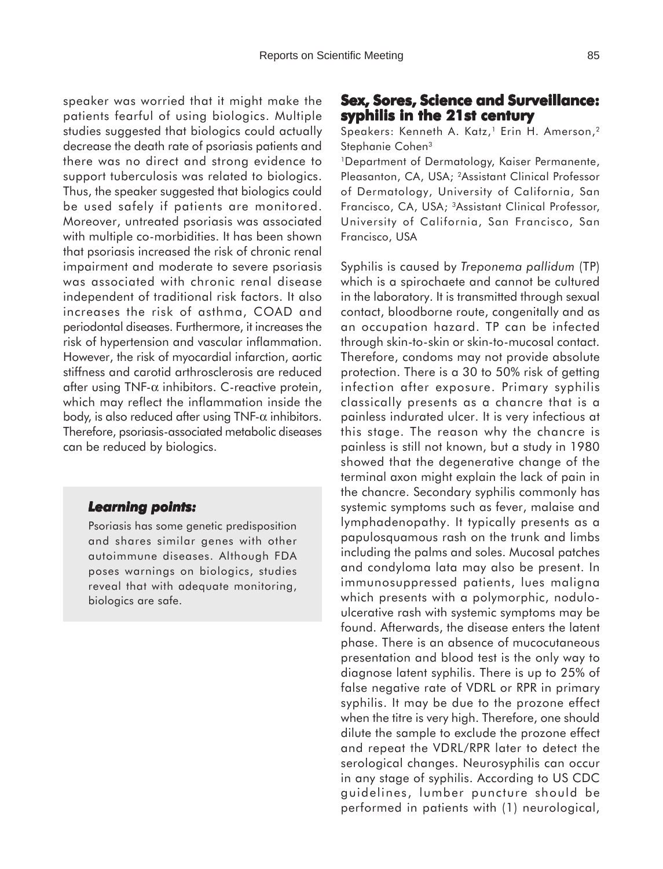speaker was worried that it might make the patients fearful of using biologics. Multiple studies suggested that biologics could actually decrease the death rate of psoriasis patients and there was no direct and strong evidence to support tuberculosis was related to biologics. Thus, the speaker suggested that biologics could be used safely if patients are monitored. Moreover, untreated psoriasis was associated with multiple co-morbidities. It has been shown that psoriasis increased the risk of chronic renal impairment and moderate to severe psoriasis was associated with chronic renal disease independent of traditional risk factors. It also increases the risk of asthma, COAD and periodontal diseases. Furthermore, it increases the risk of hypertension and vascular inflammation. However, the risk of myocardial infarction, aortic stiffness and carotid arthrosclerosis are reduced after using TNF- $\alpha$  inhibitors. C-reactive protein, which may reflect the inflammation inside the body, is also reduced after using TNF- $\alpha$  inhibitors. Therefore, psoriasis-associated metabolic diseases can be reduced by biologics.

#### *Learning points: Learning*

Psoriasis has some genetic predisposition and shares similar genes with other autoimmune diseases. Although FDA poses warnings on biologics, studies reveal that with adequate monitoring, biologics are safe.

### **Sex, Sores, Science and Surveillance: x, and Surveillance: syphilis in the 21st century**

Speakers: Kenneth A. Katz,<sup>1</sup> Erin H. Amerson,<sup>2</sup> Stephanie Cohen<sup>3</sup>

1Department of Dermatology, Kaiser Permanente, Pleasanton, CA, USA; 2Assistant Clinical Professor of Dermatology, University of California, San Francisco, CA, USA; 3Assistant Clinical Professor, University of California, San Francisco, San Francisco, USA

Syphilis is caused by *Treponema pallidum* (TP) which is a spirochaete and cannot be cultured in the laboratory. It is transmitted through sexual contact, bloodborne route, congenitally and as an occupation hazard. TP can be infected through skin-to-skin or skin-to-mucosal contact. Therefore, condoms may not provide absolute protection. There is a 30 to 50% risk of getting infection after exposure. Primary syphilis classically presents as a chancre that is a painless indurated ulcer. It is very infectious at this stage. The reason why the chancre is painless is still not known, but a study in 1980 showed that the degenerative change of the terminal axon might explain the lack of pain in the chancre. Secondary syphilis commonly has systemic symptoms such as fever, malaise and lymphadenopathy. It typically presents as a papulosquamous rash on the trunk and limbs including the palms and soles. Mucosal patches and condyloma lata may also be present. In immunosuppressed patients, lues maligna which presents with a polymorphic, noduloulcerative rash with systemic symptoms may be found. Afterwards, the disease enters the latent phase. There is an absence of mucocutaneous presentation and blood test is the only way to diagnose latent syphilis. There is up to 25% of false negative rate of VDRL or RPR in primary syphilis. It may be due to the prozone effect when the titre is very high. Therefore, one should dilute the sample to exclude the prozone effect and repeat the VDRL/RPR later to detect the serological changes. Neurosyphilis can occur in any stage of syphilis. According to US CDC guidelines, lumber puncture should be performed in patients with (1) neurological,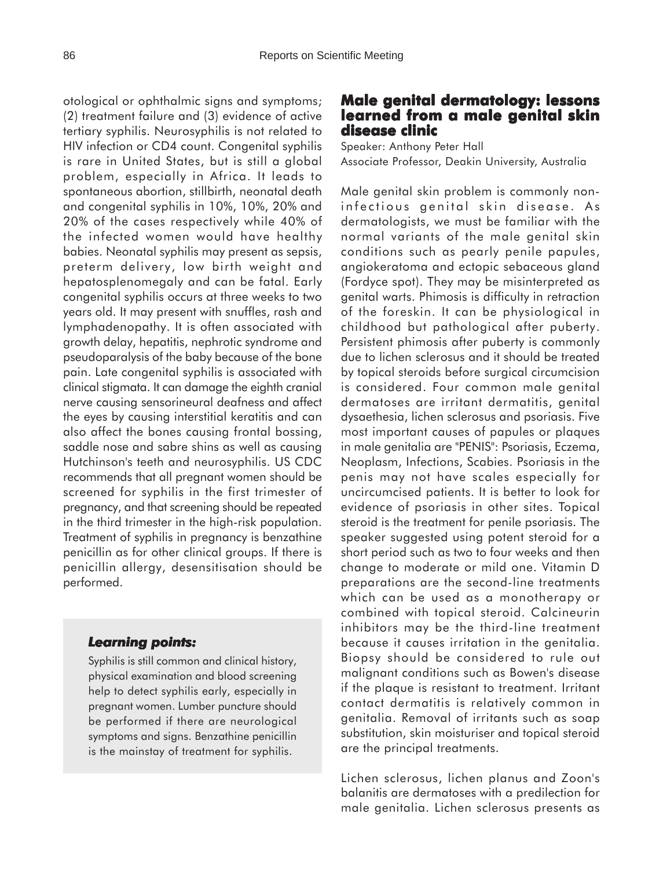otological or ophthalmic signs and symptoms; (2) treatment failure and (3) evidence of active tertiary syphilis. Neurosyphilis is not related to HIV infection or CD4 count. Congenital syphilis is rare in United States, but is still a global problem, especially in Africa. It leads to spontaneous abortion, stillbirth, neonatal death and congenital syphilis in 10%, 10%, 20% and 20% of the cases respectively while 40% of the infected women would have healthy babies. Neonatal syphilis may present as sepsis, preterm delivery, low birth weight and hepatosplenomegaly and can be fatal. Early congenital syphilis occurs at three weeks to two years old. It may present with snuffles, rash and lymphadenopathy. It is often associated with growth delay, hepatitis, nephrotic syndrome and pseudoparalysis of the baby because of the bone pain. Late congenital syphilis is associated with clinical stigmata. It can damage the eighth cranial nerve causing sensorineural deafness and affect the eyes by causing interstitial keratitis and can also affect the bones causing frontal bossing, saddle nose and sabre shins as well as causing Hutchinson's teeth and neurosyphilis. US CDC recommends that all pregnant women should be screened for syphilis in the first trimester of pregnancy, and that screening should be repeated in the third trimester in the high-risk population. Treatment of syphilis in pregnancy is benzathine penicillin as for other clinical groups. If there is penicillin allergy, desensitisation should be performed.

#### *Learning points: Learning*

Syphilis is still common and clinical history, physical examination and blood screening help to detect syphilis early, especially in pregnant women. Lumber puncture should be performed if there are neurological symptoms and signs. Benzathine penicillin is the mainstay of treatment for syphilis.

## **Male genital dermatology: lessons learned from a male genital skin disease clinic**

Speaker: Anthony Peter Hall Associate Professor, Deakin University, Australia

Male genital skin problem is commonly noninfectious genital skin disease. As dermatologists, we must be familiar with the normal variants of the male genital skin conditions such as pearly penile papules, angiokeratoma and ectopic sebaceous gland (Fordyce spot). They may be misinterpreted as genital warts. Phimosis is difficulty in retraction of the foreskin. It can be physiological in childhood but pathological after puberty. Persistent phimosis after puberty is commonly due to lichen sclerosus and it should be treated by topical steroids before surgical circumcision is considered. Four common male genital dermatoses are irritant dermatitis, genital dysaethesia, lichen sclerosus and psoriasis. Five most important causes of papules or plaques in male genitalia are "PENIS": Psoriasis, Eczema, Neoplasm, Infections, Scabies. Psoriasis in the penis may not have scales especially for uncircumcised patients. It is better to look for evidence of psoriasis in other sites. Topical steroid is the treatment for penile psoriasis. The speaker suggested using potent steroid for a short period such as two to four weeks and then change to moderate or mild one. Vitamin D preparations are the second-line treatments which can be used as a monotherapy or combined with topical steroid. Calcineurin inhibitors may be the third-line treatment because it causes irritation in the genitalia. Biopsy should be considered to rule out malignant conditions such as Bowen's disease if the plaque is resistant to treatment. Irritant contact dermatitis is relatively common in genitalia. Removal of irritants such as soap substitution, skin moisturiser and topical steroid are the principal treatments.

Lichen sclerosus, lichen planus and Zoon's balanitis are dermatoses with a predilection for male genitalia. Lichen sclerosus presents as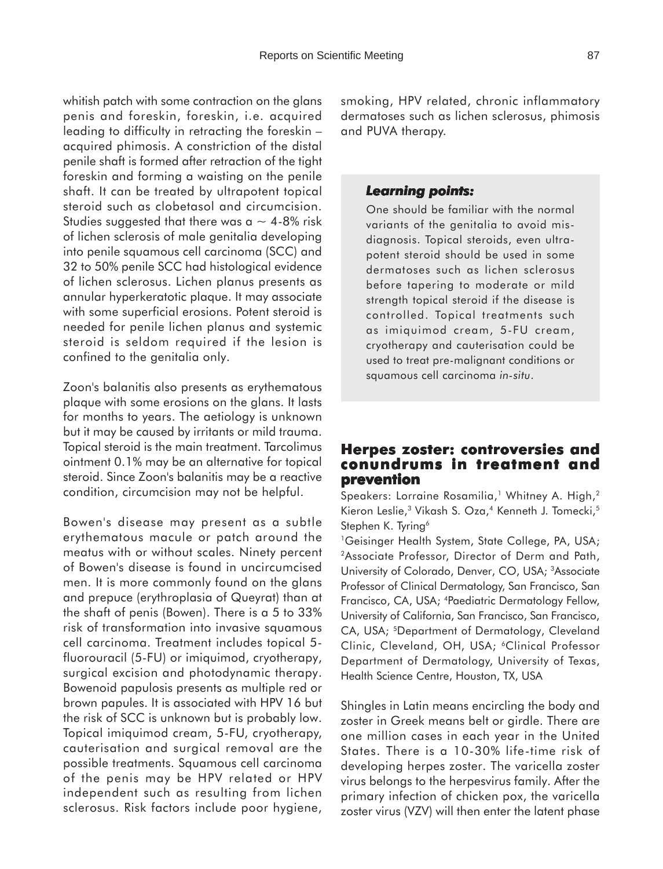whitish patch with some contraction on the glans penis and foreskin, foreskin, i.e. acquired leading to difficulty in retracting the foreskin – acquired phimosis. A constriction of the distal penile shaft is formed after retraction of the tight foreskin and forming a waisting on the penile shaft. It can be treated by ultrapotent topical steroid such as clobetasol and circumcision. Studies suggested that there was a  $\sim$  4-8% risk of lichen sclerosis of male genitalia developing into penile squamous cell carcinoma (SCC) and 32 to 50% penile SCC had histological evidence of lichen sclerosus. Lichen planus presents as annular hyperkeratotic plaque. It may associate with some superficial erosions. Potent steroid is needed for penile lichen planus and systemic steroid is seldom required if the lesion is confined to the genitalia only.

Zoon's balanitis also presents as erythematous plaque with some erosions on the glans. It lasts for months to years. The aetiology is unknown but it may be caused by irritants or mild trauma. Topical steroid is the main treatment. Tarcolimus ointment 0.1% may be an alternative for topical steroid. Since Zoon's balanitis may be a reactive condition, circumcision may not be helpful.

Bowen's disease may present as a subtle erythematous macule or patch around the meatus with or without scales. Ninety percent of Bowen's disease is found in uncircumcised men. It is more commonly found on the glans and prepuce (erythroplasia of Queyrat) than at the shaft of penis (Bowen). There is a 5 to 33% risk of transformation into invasive squamous cell carcinoma. Treatment includes topical 5 fluorouracil (5-FU) or imiquimod, cryotherapy, surgical excision and photodynamic therapy. Bowenoid papulosis presents as multiple red or brown papules. It is associated with HPV 16 but the risk of SCC is unknown but is probably low. Topical imiquimod cream, 5-FU, cryotherapy, cauterisation and surgical removal are the possible treatments. Squamous cell carcinoma of the penis may be HPV related or HPV independent such as resulting from lichen sclerosus. Risk factors include poor hygiene,

smoking, HPV related, chronic inflammatory dermatoses such as lichen sclerosus, phimosis and PUVA therapy.

#### *Learning points: Learning points:*

One should be familiar with the normal variants of the genitalia to avoid misdiagnosis. Topical steroids, even ultrapotent steroid should be used in some dermatoses such as lichen sclerosus before tapering to moderate or mild strength topical steroid if the disease is controlled. Topical treatments such as imiquimod cream, 5-FU cream, cryotherapy and cauterisation could be used to treat pre-malignant conditions or squamous cell carcinoma *in-situ*.

## **Herpes zoster: controversies and conundrums in treatment and prevention**

Speakers: Lorraine Rosamilia,<sup>1</sup> Whitney A. High,<sup>2</sup> Kieron Leslie,<sup>3</sup> Vikash S. Oza,<sup>4</sup> Kenneth J. Tomecki,<sup>5</sup> Stephen K. Tyring<sup>6</sup>

<sup>1</sup>Geisinger Health System, State College, PA, USA; 2Associate Professor, Director of Derm and Path, University of Colorado, Denver, CO, USA; 3Associate Professor of Clinical Dermatology, San Francisco, San Francisco, CA, USA; 4Paediatric Dermatology Fellow, University of California, San Francisco, San Francisco, CA, USA; 5Department of Dermatology, Cleveland Clinic, Cleveland, OH, USA; <sup>6</sup>Clinical Professor Department of Dermatology, University of Texas, Health Science Centre, Houston, TX, USA

Shingles in Latin means encircling the body and zoster in Greek means belt or girdle. There are one million cases in each year in the United States. There is a 10-30% life-time risk of developing herpes zoster. The varicella zoster virus belongs to the herpesvirus family. After the primary infection of chicken pox, the varicella zoster virus (VZV) will then enter the latent phase